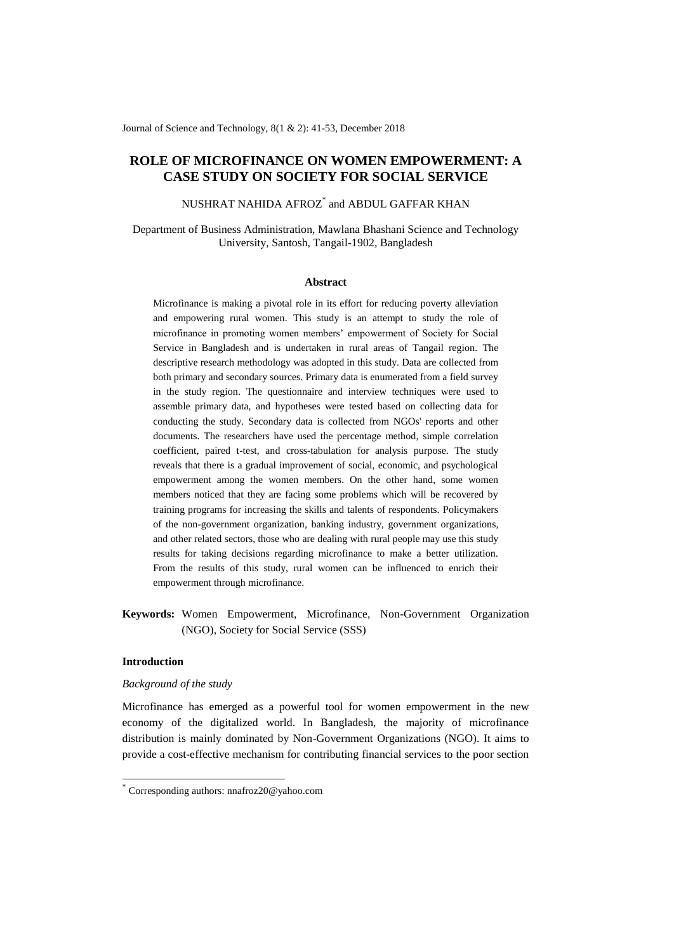Journal of Science and Technology, 8(1 & 2): 41-53, December 2018

# **ROLE OF MICROFINANCE ON WOMEN EMPOWERMENT: A CASE STUDY ON SOCIETY FOR SOCIAL SERVICE**

NUSHRAT NAHIDA AFROZ\* and ABDUL GAFFAR KHAN

Department of Business Administration, Mawlana Bhashani Science and Technology University, Santosh, Tangail-1902, Bangladesh

#### **Abstract**

Microfinance is making a pivotal role in its effort for reducing poverty alleviation and empowering rural women. This study is an attempt to study the role of microfinance in promoting women members' empowerment of Society for Social Service in Bangladesh and is undertaken in rural areas of Tangail region. The descriptive research methodology was adopted in this study. Data are collected from both primary and secondary sources. Primary data is enumerated from a field survey in the study region. The questionnaire and interview techniques were used to assemble primary data, and hypotheses were tested based on collecting data for conducting the study. Secondary data is collected from NGOs' reports and other documents. The researchers have used the percentage method, simple correlation coefficient, paired t-test, and cross-tabulation for analysis purpose. The study reveals that there is a gradual improvement of social, economic, and psychological empowerment among the women members. On the other hand, some women members noticed that they are facing some problems which will be recovered by training programs for increasing the skills and talents of respondents. Policymakers of the non-government organization, banking industry, government organizations, and other related sectors, those who are dealing with rural people may use this study results for taking decisions regarding microfinance to make a better utilization. From the results of this study, rural women can be influenced to enrich their empowerment through microfinance.

**Keywords:** Women Empowerment, Microfinance, Non-Government Organization (NGO), Society for Social Service (SSS)

# **Introduction**

1

#### *Background of the study*

[Microfinance](https://www.omicsonline.org/searchresult.php?keyword=Microfinance) has emerged as a powerful tool for women empowerment in the new economy of the digitalized world. In Bangladesh, the majority of microfinance distribution is mainly dominated by Non-Government Organizations (NGO). It aims to provide a cost-effective mechanism for contributing financial services to the poor section

<sup>\*</sup> Corresponding authors[: nnafroz20@yahoo.com](mailto:nnaafroz20@yahoo.com)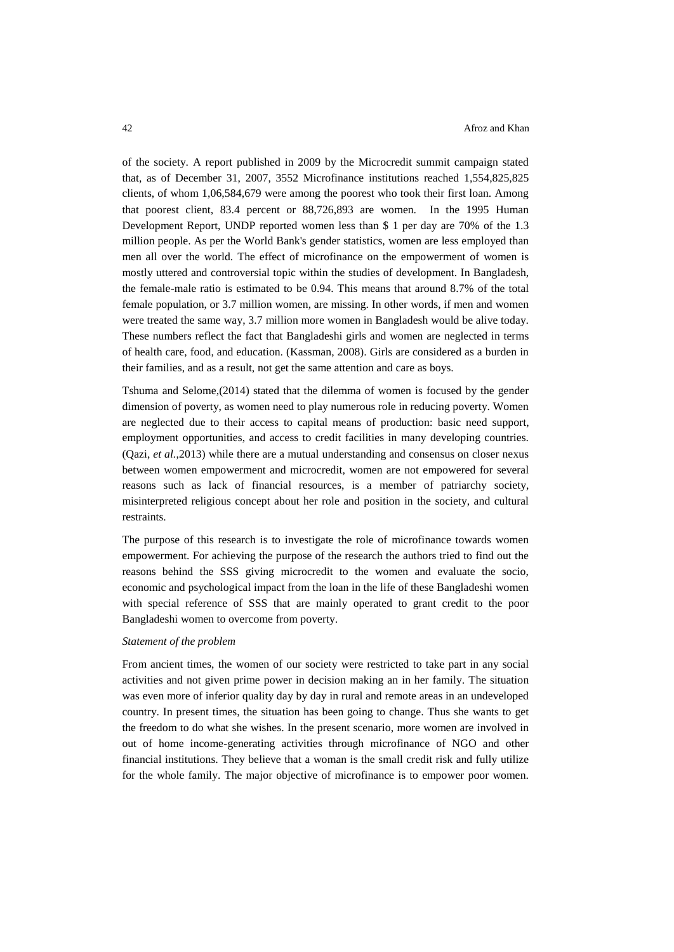of the society. A report published in 2009 by the Microcredit summit campaign stated that, as of December 31, 2007, 3552 Microfinance institutions reached 1,554,825,825 clients, of whom 1,06,584,679 were among the poorest who took their first loan. Among that poorest client, 83.4 percent or 88,726,893 are women. In the 1995 Human Development Report, UNDP reported women less than \$ 1 per day are 70% of the 1.3 million people. As per the World Bank's gender statistics, women are less employed than men all over the world. The effect of microfinance on the empowerment of women is mostly uttered and controversial topic within the studies of development. In Bangladesh, the female-male ratio is estimated to be 0.94. This means that around 8.7% of the total female population, or 3.7 million women, are missing. In other words, if men and women were treated the same way, 3.7 million more women in Bangladesh would be alive today. These numbers reflect the fact that Bangladeshi girls and women are neglected in terms of health care, food, and education. (Kassman, 2008). Girls are considered as a burden in their families, and as a result, not get the same attention and care as boys.

Tshuma and Selome,(2014) stated that the dilemma of women is focused by the gender dimension of poverty, as women need to play numerous role in reducing poverty. Women are neglected due to their access to capital means of production: basic need support, employment opportunities, and access to credit facilities in many developing countries. (Qazi, *et al.*,2013) while there are a mutual understanding and consensus on closer nexus between women empowerment and microcredit, women are not empowered for several reasons such as lack of financial resources, is a member of patriarchy society, misinterpreted religious concept about her role and position in the society, and cultural restraints.

The purpose of this research is to investigate the role of microfinance towards women empowerment. For achieving the purpose of the research the authors tried to find out the reasons behind the SSS giving microcredit to the women and evaluate the socio, economic and psychological impact from the loan in the life of these Bangladeshi women with special reference of SSS that are mainly operated to grant credit to the poor Bangladeshi women to overcome from poverty.

#### *Statement of the problem*

From ancient times, the women of our society were restricted to take part in any social activities and not given prime power in decision making an in her family. The situation was even more of inferior quality day by day in rural and remote areas in an undeveloped country. In present times, the situation has been going to change. Thus she wants to get the freedom to do what she wishes. In the present scenario, more women are involved in out of home income-generating activities through microfinance of NGO and other financial institutions. They believe that a woman is the small credit risk and fully utilize for the whole family. The major objective of microfinance is to empower poor women.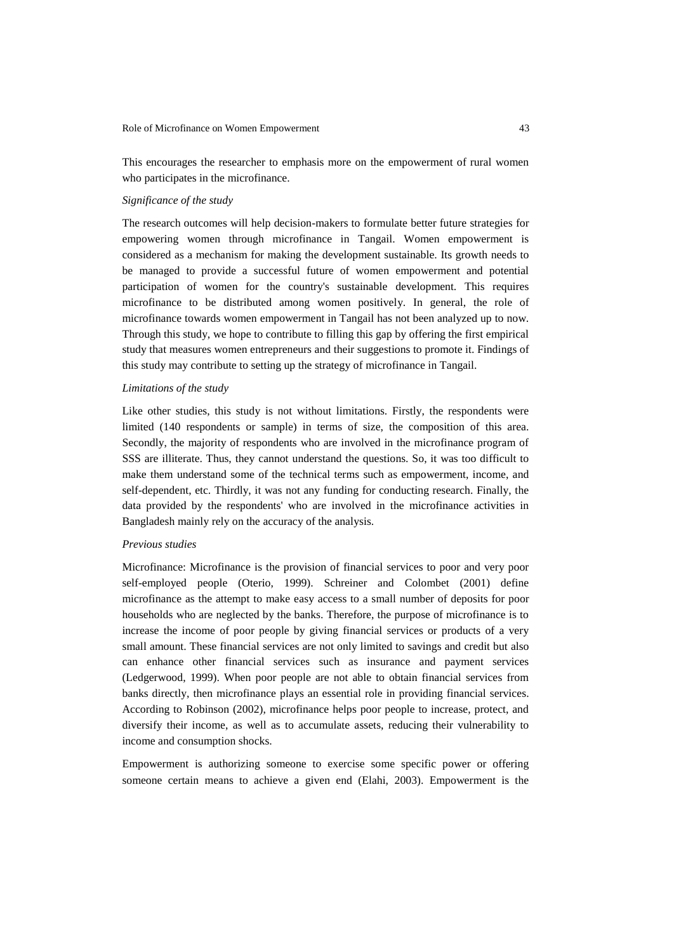This encourages the researcher to emphasis more on the empowerment of rural women who participates in the microfinance.

# *Significance of the study*

The research outcomes will help decision-makers to formulate better future strategies for empowering women through microfinance in Tangail. Women empowerment is considered as a mechanism for making the development sustainable. Its growth needs to be managed to provide a successful future of women empowerment and potential participation of women for the country's sustainable development. This requires microfinance to be distributed among women positively. In general, the role of microfinance towards women empowerment in Tangail has not been analyzed up to now. Through this study, we hope to contribute to filling this gap by offering the first empirical study that measures women entrepreneurs and their suggestions to promote it. Findings of this study may contribute to setting up the strategy of microfinance in Tangail.

### *Limitations of the study*

Like other studies, this study is not without limitations. Firstly, the respondents were limited (140 respondents or sample) in terms of size, the composition of this area. Secondly, the majority of respondents who are involved in the microfinance program of SSS are illiterate. Thus, they cannot understand the questions. So, it was too difficult to make them understand some of the technical terms such as empowerment, income, and self-dependent, etc. Thirdly, it was not any funding for conducting research. Finally, the data provided by the respondents' who are involved in the microfinance activities in Bangladesh mainly rely on the accuracy of the analysis.

#### *Previous studies*

Microfinance: Microfinance is the provision of financial services to poor and very poor self-employed people (Oterio, 1999). Schreiner and Colombet (2001) define microfinance as the attempt to make easy access to a small number of deposits for poor households who are neglected by the banks. Therefore, the purpose of microfinance is to increase the income of poor people by giving financial services or products of a very small amount. These financial services are not only limited to savings and credit but also can enhance other financial services such as insurance and payment services (Ledgerwood, 1999). When poor people are not able to obtain financial services from banks directly, then microfinance plays an essential role in providing financial services. According to Robinson (2002), microfinance helps poor people to increase, protect, and diversify their income, as well as to accumulate assets, reducing their vulnerability to income and consumption shocks.

Empowerment is authorizing someone to exercise some specific power or offering someone certain means to achieve a given end (Elahi, 2003). Empowerment is the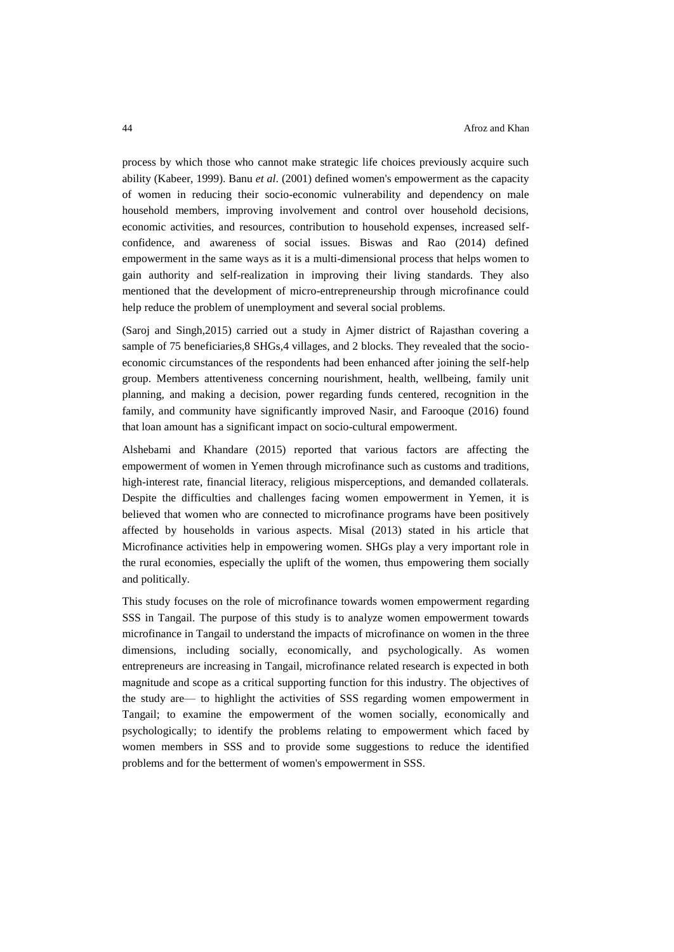process by which those who cannot make strategic life choices previously acquire such ability (Kabeer, 1999). Banu *et al*. (2001) defined women's empowerment as the capacity of women in reducing their socio[-economic](https://www.omicsonline.org/searchresult.php?keyword=%20economic) vulnerability and dependency on male household members, improving involvement and control over household decisions, economic activities, and resources, contribution to household expenses, increased selfconfidence, and awareness of social issues. Biswas and Rao (2014) defined empowerment in the same ways as it is a multi-dimensional process that helps women to gain authority and self-realization in improving their living standards. They also mentioned that the development of micro-entrepreneurship through microfinance could help reduce the problem of unemployment and several social problems.

(Saroj and Singh,2015) carried out a study in Ajmer district of Rajasthan covering a sample of 75 beneficiaries, 8 SHGs, 4 villages, and 2 blocks. They revealed that the socioeconomic circumstances of the respondents had been enhanced after joining the self-help group. Members attentiveness concerning nourishment, health, wellbeing, family unit planning, and making a decision, power regarding funds centered, recognition in the family, and community have significantly improved Nasir, and Farooque (2016) found that loan amount has a significant impact on socio-cultural empowerment.

Alshebami and Khandare (2015) reported that various factors are affecting the empowerment of women in Yemen through microfinance such as customs and traditions, high-interest rate, financial literacy, religious misperceptions, and demanded collaterals. Despite the difficulties and challenges facing women empowerment in Yemen, it is believed that women who are connected to microfinance programs have been positively affected by households in various aspects. Misal (2013) stated in his article that Microfinance activities help in empowering women. SHGs play a very important role in the rural economies, especially the uplift of the women, thus empowering them socially and politically.

This study focuses on the role of microfinance towards women empowerment regarding SSS in Tangail. The purpose of this study is to analyze women empowerment towards microfinance in Tangail to understand the impacts of microfinance on women in the three dimensions, including socially, economically, and psychologically. As women entrepreneurs are increasing in Tangail, microfinance related research is expected in both magnitude and scope as a critical supporting function for this industry. The objectives of the study are— to highlight the activities of SSS regarding women empowerment in Tangail; to examine the empowerment of the women socially, economically and psychologically; to identify the problems relating to empowerment which faced by women members in SSS and to provide some suggestions to reduce the identified problems and for the betterment of women's empowerment in SSS.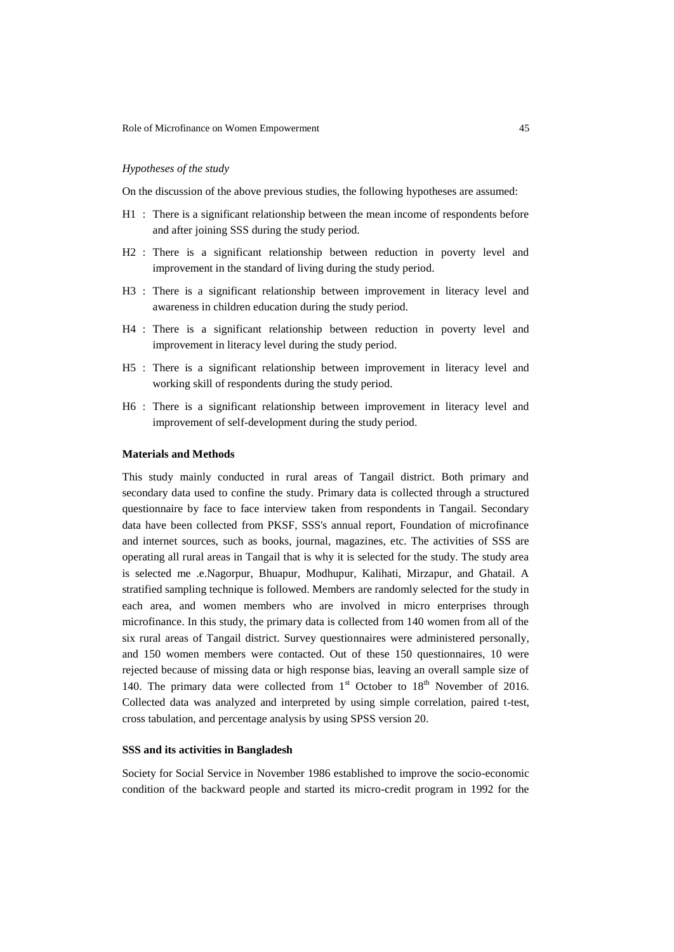# *Hypotheses of the study*

On the discussion of the above previous studies, the following hypotheses are assumed:

- H1 : There is a significant relationship between the mean income of respondents before and after joining SSS during the study period.
- H2 : There is a significant relationship between reduction in poverty level and improvement in the standard of living during the study period.
- H3 : There is a significant relationship between improvement in literacy level and awareness in children education during the study period.
- H4 : There is a significant relationship between reduction in poverty level and improvement in literacy level during the study period.
- H5 : There is a significant relationship between improvement in literacy level and working skill of respondents during the study period.
- H6 : There is a significant relationship between improvement in literacy level and improvement of self-development during the study period.

#### **Materials and Methods**

This study mainly conducted in rural areas of Tangail district. Both primary and secondary data used to confine the study. Primary data is collected through a structured questionnaire by face to face interview taken from respondents in Tangail. Secondary data have been collected from PKSF, SSS's annual report, Foundation of microfinance and internet sources, such as books, journal, magazines, etc. The activities of SSS are operating all rural areas in Tangail that is why it is selected for the study. The study area is selected me .e.Nagorpur, Bhuapur, Modhupur, Kalihati, Mirzapur, and Ghatail. A stratified sampling technique is followed. Members are randomly selected for the study in each area, and women members who are involved in micro enterprises through microfinance. In this study, the primary data is collected from 140 women from all of the six rural areas of Tangail district. Survey questionnaires were administered personally, and 150 women members were contacted. Out of these 150 questionnaires, 10 were rejected because of missing data or high response bias, leaving an overall sample size of 140. The primary data were collected from  $1<sup>st</sup>$  October to  $18<sup>th</sup>$  November of 2016. Collected data was analyzed and interpreted by using simple correlation, paired t-test, cross tabulation, and percentage analysis by using SPSS version 20.

# **SSS and its activities in Bangladesh**

Society for Social Service in November 1986 established to improve the socio-economic condition of the backward people and started its micro-credit program in 1992 for the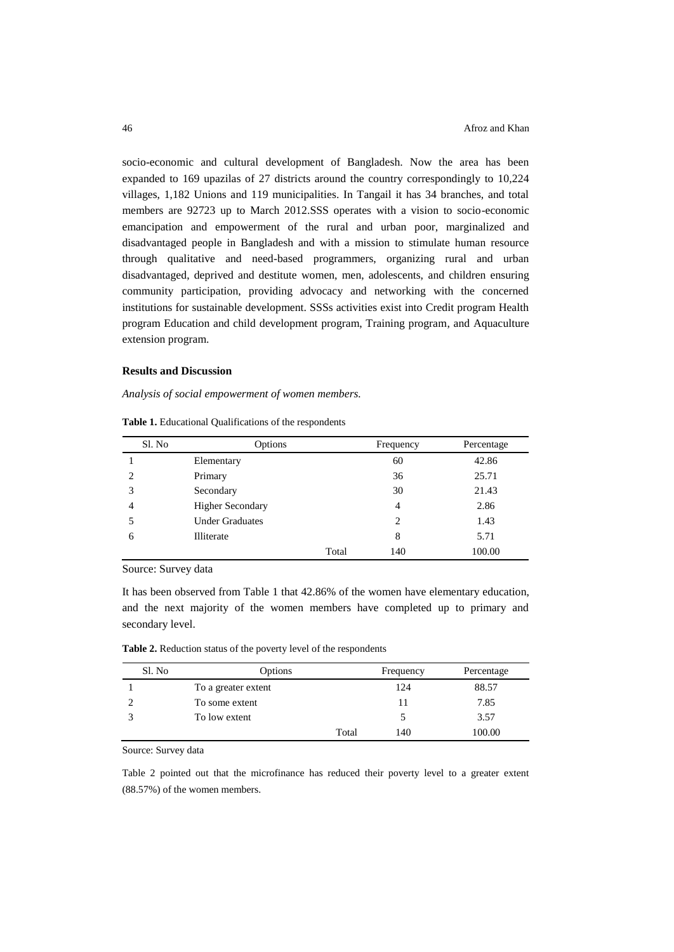socio-economic and cultural development of Bangladesh. Now the area has been expanded to 169 upazilas of 27 districts around the country correspondingly to 10,224 villages, 1,182 Unions and 119 municipalities. In Tangail it has 34 branches, and total members are 92723 up to March 2012.SSS operates with a vision to socio-economic emancipation and empowerment of the rural and urban poor, marginalized and disadvantaged people in Bangladesh and with a mission to stimulate human resource through qualitative and need-based programmers, organizing rural and urban disadvantaged, deprived and destitute women, men, adolescents, and children ensuring community participation, providing advocacy and networking with the concerned institutions for sustainable development. SSSs activities exist into Credit program Health program Education and child development program, Training program, and Aquaculture extension program.

### **Results and Discussion**

*Analysis of social empowerment of women members.*

| Sl. No                      | Options                 |       | Frequency      | Percentage |
|-----------------------------|-------------------------|-------|----------------|------------|
|                             | Elementary              |       | 60             | 42.86      |
| $\mathcal{D}_{\mathcal{L}}$ | Primary                 |       | 36             | 25.71      |
| 3                           | Secondary               |       | 30             | 21.43      |
| $\overline{4}$              | <b>Higher Secondary</b> |       | 4              | 2.86       |
|                             | <b>Under Graduates</b>  |       | $\overline{c}$ | 1.43       |
| 6                           | Illiterate              |       | 8              | 5.71       |
|                             |                         | Total | 140            | 100.00     |

**Table 1.** Educational Qualifications of the respondents

Source: Survey data

It has been observed from Table 1 that 42.86% of the women have elementary education, and the next majority of the women members have completed up to primary and secondary level.

**Table 2.** Reduction status of the poverty level of the respondents

| Sl. No | Options             |       | Frequency | Percentage |
|--------|---------------------|-------|-----------|------------|
|        | To a greater extent |       | 124       | 88.57      |
|        | To some extent      |       |           | 7.85       |
|        | To low extent       |       |           | 3.57       |
|        |                     | Total | 140       | 100.00     |

Source: Survey data

Table 2 pointed out that the microfinance has reduced their poverty level to a greater extent (88.57%) of the women members.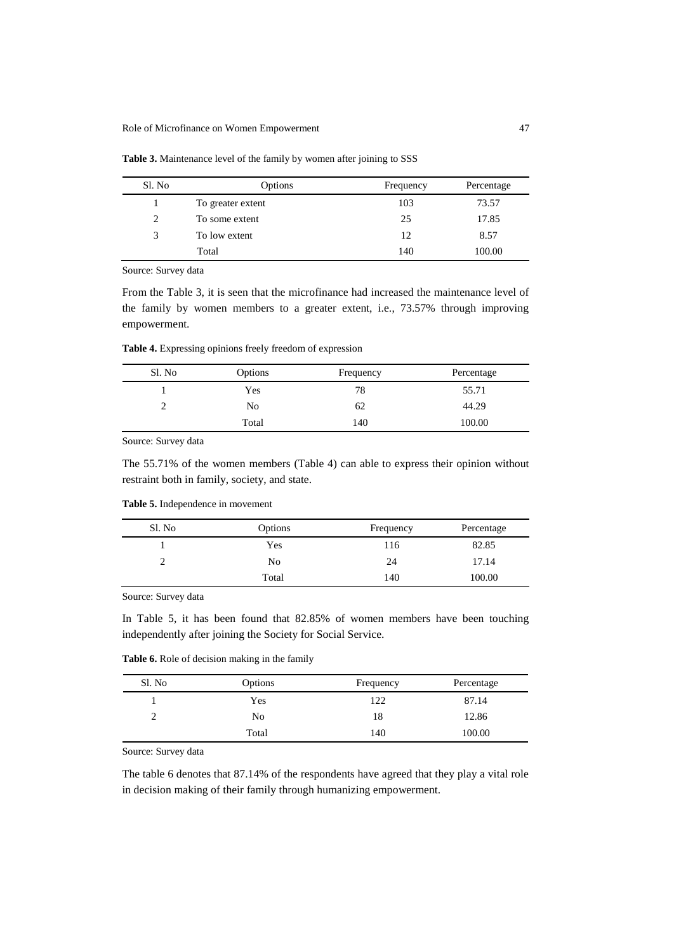| Sl. No | Options           | Frequency | Percentage |
|--------|-------------------|-----------|------------|
|        | To greater extent | 103       | 73.57      |
| 2      | To some extent    | 25        | 17.85      |
| 3      | To low extent     | 12        | 8.57       |
|        | Total             | 140       | 100.00     |

**Table 3.** Maintenance level of the family by women after joining to SSS

Source: Survey data

From the Table 3, it is seen that the microfinance had increased the maintenance level of the family by women members to a greater extent, i.e., 73.57% through improving empowerment.

**Table 4.** Expressing opinions freely freedom of expression

| Sl. No | Options | Frequency | Percentage |
|--------|---------|-----------|------------|
|        | Yes     | 78        | 55.71      |
|        | No      | 62        | 44.29      |
|        | Total   | 140       | 100.00     |

Source: Survey data

The 55.71% of the women members (Table 4) can able to express their opinion without restraint both in family, society, and state.

**Table 5.** Independence in movement

| Sl. No | Options | Frequency | Percentage |
|--------|---------|-----------|------------|
|        | Yes     | 116       | 82.85      |
|        | No      | 24        | 17.14      |
|        | Total   | 140       | 100.00     |

Source: Survey data

In Table 5, it has been found that 82.85% of women members have been touching independently after joining the Society for Social Service.

**Table 6.** Role of decision making in the family

| Sl. No | Options | Frequency | Percentage |
|--------|---------|-----------|------------|
|        | Yes     | 122       | 87.14      |
|        | No      | 18        | 12.86      |
|        | Total   | 140       | 100.00     |

Source: Survey data

The table 6 denotes that 87.14% of the respondents have agreed that they play a vital role in decision making of their family through humanizing empowerment.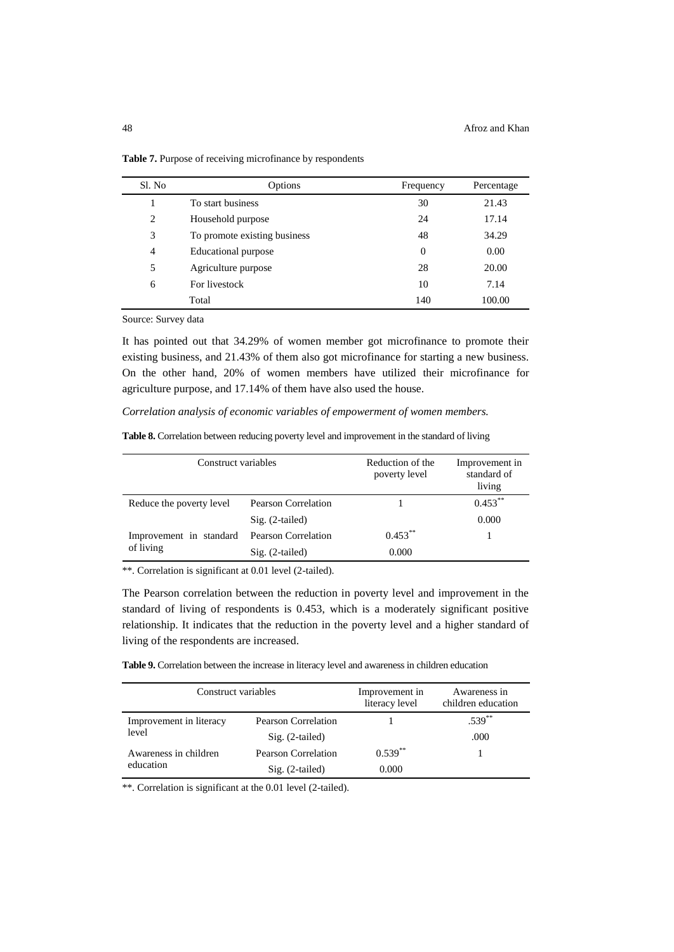| Sl. No | Options                      | Frequency | Percentage |
|--------|------------------------------|-----------|------------|
|        | To start business            | 30        | 21.43      |
| 2      | Household purpose            | 24        | 17.14      |
| 3      | To promote existing business | 48        | 34.29      |
| 4      | Educational purpose          | $\theta$  | 0.00       |
| 5      | Agriculture purpose          | 28        | 20.00      |
| 6      | For livestock                | 10        | 7.14       |
|        | Total                        | 140       | 100.00     |

**Table 7.** Purpose of receiving microfinance by respondents

Source: Survey data

It has pointed out that 34.29% of women member got microfinance to promote their existing business, and 21.43% of them also got microfinance for starting a new business. On the other hand, 20% of women members have utilized their microfinance for agriculture purpose, and 17.14% of them have also used the house.

*Correlation analysis of economic variables of empowerment of women members.*

|  |  | Table 8. Correlation between reducing poverty level and improvement in the standard of living |  |
|--|--|-----------------------------------------------------------------------------------------------|--|
|  |  |                                                                                               |  |

| Construct variables      |                            | Reduction of the<br>poverty level | Improvement in<br>standard of<br>living |
|--------------------------|----------------------------|-----------------------------------|-----------------------------------------|
| Reduce the poverty level | Pearson Correlation        |                                   | $0.453***$                              |
|                          | $Sig. (2-tailed)$          |                                   | 0.000                                   |
| Improvement in standard  | <b>Pearson Correlation</b> | $0.453***$                        |                                         |
| of living                | $Sig. (2-tailed)$          | 0.000                             |                                         |

\*\*. Correlation is significant at 0.01 level (2-tailed).

The Pearson correlation between the reduction in poverty level and improvement in the standard of living of respondents is 0.453, which is a moderately significant positive relationship. It indicates that the reduction in the poverty level and a higher standard of living of the respondents are increased.

**Table 9.** Correlation between the increase in literacy level and awareness in children education

| Construct variables     |                     | Improvement in<br>literacy level | Awareness in<br>children education |
|-------------------------|---------------------|----------------------------------|------------------------------------|
| Improvement in literacy | Pearson Correlation |                                  | $.539***$                          |
| level                   | $Sig. (2-tailed)$   |                                  | .000                               |
| Awareness in children   | Pearson Correlation | $0.539**$                        |                                    |
| education               | $Sig. (2-tailed)$   | 0.000                            |                                    |

\*\*. Correlation is significant at the 0.01 level (2-tailed).

 $\overline{a}$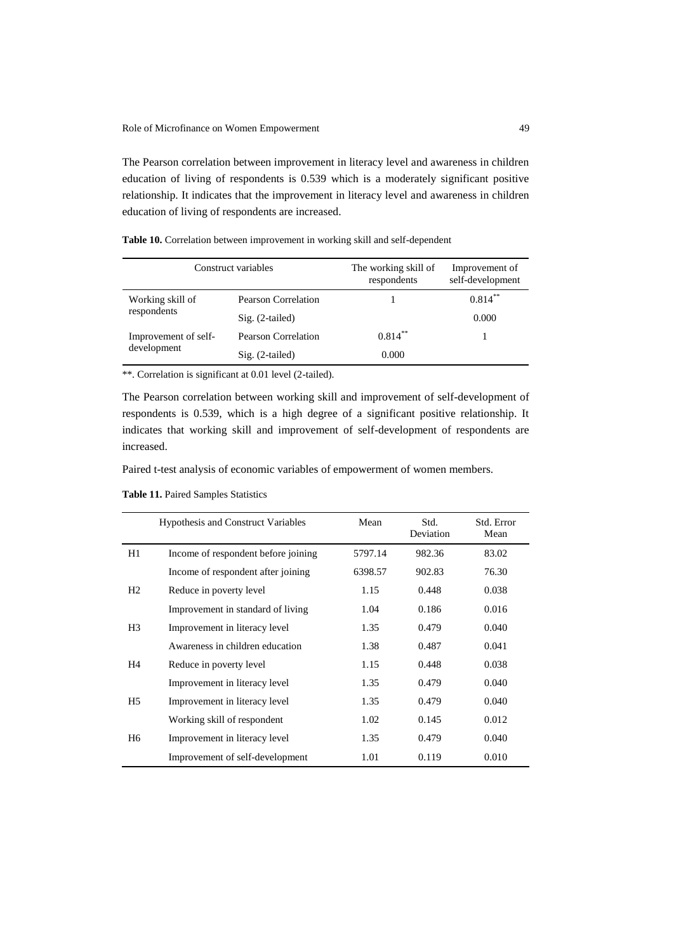The Pearson correlation between improvement in literacy level and awareness in children education of living of respondents is 0.539 which is a moderately significant positive relationship. It indicates that the improvement in literacy level and awareness in children education of living of respondents are increased.

**Table 10.** Correlation between improvement in working skill and self-dependent

| Construct variables  |                            | The working skill of<br>respondents | Improvement of<br>self-development |
|----------------------|----------------------------|-------------------------------------|------------------------------------|
| Working skill of     | <b>Pearson Correlation</b> |                                     | $0.814***$                         |
| respondents          | $Sig. (2-tailed)$          |                                     | 0.000                              |
| Improvement of self- | <b>Pearson Correlation</b> | $0.814***$                          |                                    |
| development          | $Sig. (2-tailed)$          | 0.000                               |                                    |

\*\*. Correlation is significant at 0.01 level (2-tailed).

The Pearson correlation between working skill and improvement of self-development of respondents is 0.539, which is a high degree of a significant positive relationship. It indicates that working skill and improvement of self-development of respondents are increased.

Paired t-test analysis of economic variables of empowerment of women members.

**Table 11.** Paired Samples Statistics

|                | <b>Hypothesis and Construct Variables</b> | Mean    | Std.<br>Deviation | Std. Error<br>Mean |
|----------------|-------------------------------------------|---------|-------------------|--------------------|
| H1             | Income of respondent before joining       | 5797.14 | 982.36            | 83.02              |
|                | Income of respondent after joining        | 6398.57 | 902.83            | 76.30              |
| H2             | Reduce in poverty level                   | 1.15    | 0.448             | 0.038              |
|                | Improvement in standard of living         | 1.04    | 0.186             | 0.016              |
| H <sub>3</sub> | Improvement in literacy level             | 1.35    | 0.479             | 0.040              |
|                | Awareness in children education           | 1.38    | 0.487             | 0.041              |
| H <sub>4</sub> | Reduce in poverty level                   | 1.15    | 0.448             | 0.038              |
|                | Improvement in literacy level             | 1.35    | 0.479             | 0.040              |
| H5             | Improvement in literacy level             | 1.35    | 0.479             | 0.040              |
|                | Working skill of respondent               | 1.02    | 0.145             | 0.012              |
| H <sub>6</sub> | Improvement in literacy level             | 1.35    | 0.479             | 0.040              |
|                | Improvement of self-development           | 1.01    | 0.119             | 0.010              |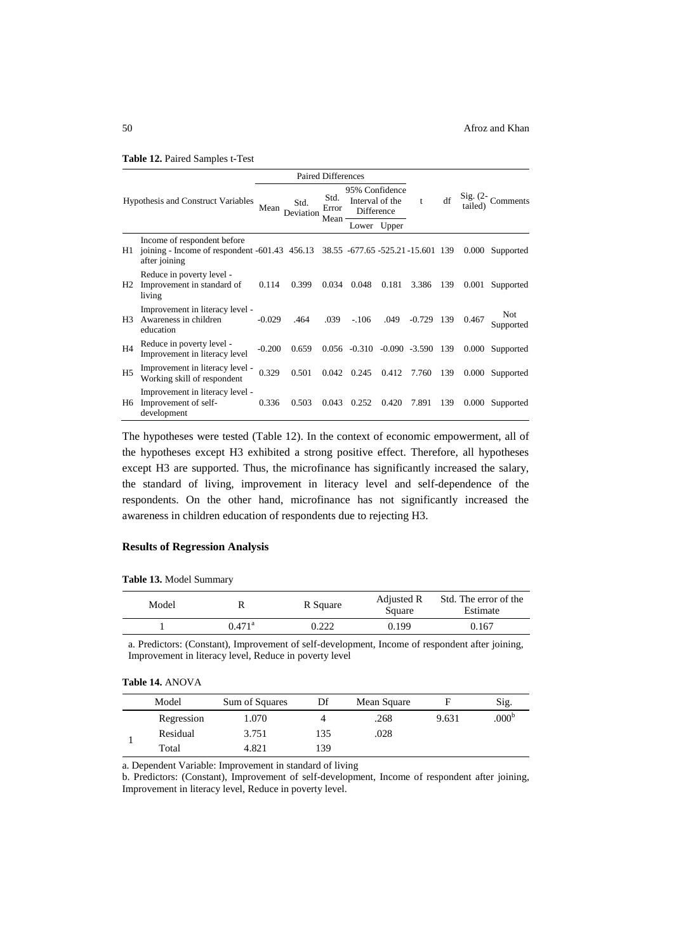|  |  | Table 12. Paired Samples t-Test |  |  |  |
|--|--|---------------------------------|--|--|--|
|--|--|---------------------------------|--|--|--|

|                                           |                                                                                                                                 | <b>Paired Differences</b> |                   |               |                                                 |       |          |     |        |                      |
|-------------------------------------------|---------------------------------------------------------------------------------------------------------------------------------|---------------------------|-------------------|---------------|-------------------------------------------------|-------|----------|-----|--------|----------------------|
| <b>Hypothesis and Construct Variables</b> |                                                                                                                                 | Mean                      | Std.<br>Deviation | Std.<br>Error | 95% Confidence<br>Interval of the<br>Difference |       | t        | df  | tailed | Sig. $(2 -$ Comments |
|                                           |                                                                                                                                 |                           |                   | Mean          | Lower                                           | Upper |          |     |        |                      |
| H1                                        | Income of respondent before<br>joining - Income of respondent -601.43 456.13 38.55 -677.65 -525.21 -15.601 139<br>after joining |                           |                   |               |                                                 |       |          |     | 0.000  | Supported            |
| H2                                        | Reduce in poverty level -<br>Improvement in standard of<br>living                                                               | 0.114                     | 0.399             | 0.034         | 0.048                                           | 0.181 | 3.386    | 139 | 0.001  | Supported            |
| H3                                        | Improvement in literacy level -<br>Awareness in children<br>education                                                           | $-0.029$                  | .464              | .039          | $-.106$                                         | .049  | $-0.729$ | 139 | 0.467  | Not.<br>Supported    |
| H <sub>4</sub>                            | Reduce in poverty level -<br>Improvement in literacy level                                                                      | $-0.200$                  | 0.659             |               | $0.056 -0.310 -0.090 -3.590$                    |       |          | 139 | 0.000  | Supported            |
| H <sub>5</sub>                            | Improvement in literacy level -<br>Working skill of respondent                                                                  | 0.329                     | 0.501             | 0.042         | 0.245                                           | 0.412 | 7.760    | 139 | 0.000  | Supported            |
| H6                                        | Improvement in literacy level -<br>Improvement of self-<br>development                                                          | 0.336                     | 0.503             | 0.043         | 0.252                                           | 0.420 | 7.891    | 139 | 0.000  | Supported            |

The hypotheses were tested (Table 12). In the context of economic empowerment, all of the hypotheses except H3 exhibited a strong positive effect. Therefore, all hypotheses except H3 are supported. Thus, the microfinance has significantly increased the salary, the standard of living, improvement in literacy level and self-dependence of the respondents. On the other hand, microfinance has not significantly increased the awareness in children education of respondents due to rejecting H3.

# **Results of Regression Analysis**

**Table 13.** Model Summary

| Model |                 | R Square | Adjusted R<br>Square | Std. The error of the<br>Estimate |
|-------|-----------------|----------|----------------------|-----------------------------------|
|       | $0.471^{\rm a}$ | 0.222    | 0.199                | 0.167                             |

a. Predictors: (Constant), Improvement of self-development, Income of respondent after joining, Improvement in literacy level, Reduce in poverty level

# **Table 14.** ANOVA

| Model |            | Sum of Squares | Df  | Mean Square |       | Sig.              |
|-------|------------|----------------|-----|-------------|-------|-------------------|
|       | Regression | 1.070          |     | .268        | 9.631 | .000 <sup>b</sup> |
|       | Residual   | 3.751          | 135 | .028        |       |                   |
|       | Total      | 4.821          | 139 |             |       |                   |

a. Dependent Variable: Improvement in standard of living

b. Predictors: (Constant), Improvement of self-development, Income of respondent after joining, Improvement in literacy level, Reduce in poverty level.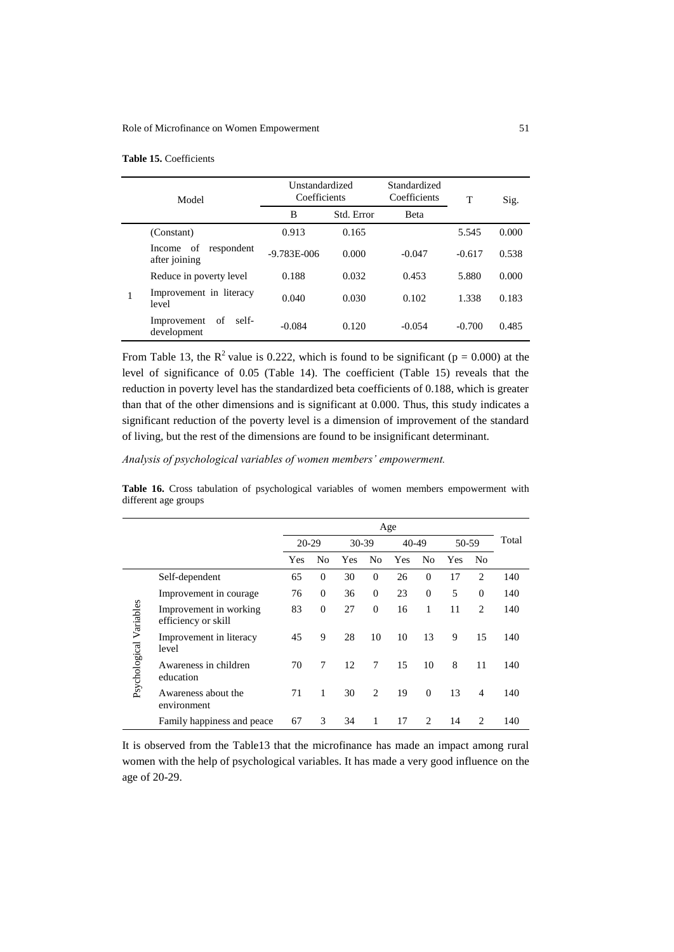## Role of Microfinance on Women Empowerment 51

| Model |                                             | Unstandardized<br>Coefficients | Standardized<br>Coefficients |              | T        | Sig.  |
|-------|---------------------------------------------|--------------------------------|------------------------------|--------------|----------|-------|
|       |                                             | B                              | Std. Error                   | <b>B</b> eta |          |       |
|       | (Constant)                                  | 0.913                          | 0.165                        |              | 5.545    | 0.000 |
|       | of<br>respondent<br>Income<br>after joining | $-9.783E - 006$                | 0.000                        | $-0.047$     | $-0.617$ | 0.538 |
|       | Reduce in poverty level                     | 0.188                          | 0.032                        | 0.453        | 5.880    | 0.000 |
|       | Improvement in literacy<br>level            | 0.040                          | 0.030                        | 0.102        | 1.338    | 0.183 |
|       | Improvement<br>of<br>self-<br>development   | $-0.084$                       | 0.120                        | $-0.054$     | $-0.700$ | 0.485 |

# **Table 15.** Coefficients

From Table 13, the  $R^2$  value is 0.222, which is found to be significant ( $p = 0.000$ ) at the level of significance of 0.05 (Table 14). The coefficient (Table 15) reveals that the reduction in poverty level has the standardized beta coefficients of 0.188, which is greater than that of the other dimensions and is significant at 0.000. Thus, this study indicates a significant reduction of the poverty level is a dimension of improvement of the standard of living, but the rest of the dimensions are found to be insignificant determinant.

*Analysis of psychological variables of women members' empowerment.*

Table 16. Cross tabulation of psychological variables of women members empowerment with different age groups

|                         |                                               | Age       |          |       |          |       |              |       |                |       |
|-------------------------|-----------------------------------------------|-----------|----------|-------|----------|-------|--------------|-------|----------------|-------|
|                         |                                               | $20 - 29$ |          | 30-39 |          | 40-49 |              | 50-59 |                | Total |
|                         |                                               | Yes       | No       | Yes   | No       | Yes   | No           | Yes   | No             |       |
|                         | Self-dependent                                | 65        | $\Omega$ | 30    | $\Omega$ | 26    | $\Omega$     | 17    | 2              | 140   |
|                         | Improvement in courage                        | 76        | $\theta$ | 36    | $\theta$ | 23    | $\mathbf{0}$ | 5     | $\theta$       | 140   |
| Psychological Variables | Improvement in working<br>efficiency or skill | 83        | $\theta$ | 27    | $\Omega$ | 16    | 1            | 11    | 2              | 140   |
|                         | Improvement in literacy<br>level              | 45        | 9        | 28    | 10       | 10    | 13           | 9     | 15             | 140   |
|                         | Awareness in children<br>education            | 70        | 7        | 12    | 7        | 15    | 10           | 8     | 11             | 140   |
|                         | Awareness about the<br>environment            | 71        | 1        | 30    | 2        | 19    | $\Omega$     | 13    | $\overline{4}$ | 140   |
|                         | Family happiness and peace                    | 67        | 3        | 34    | 1        | 17    | 2            | 14    | 2              | 140   |

It is observed from the Table13 that the microfinance has made an impact among rural women with the help of psychological variables. It has made a very good influence on the age of 20-29.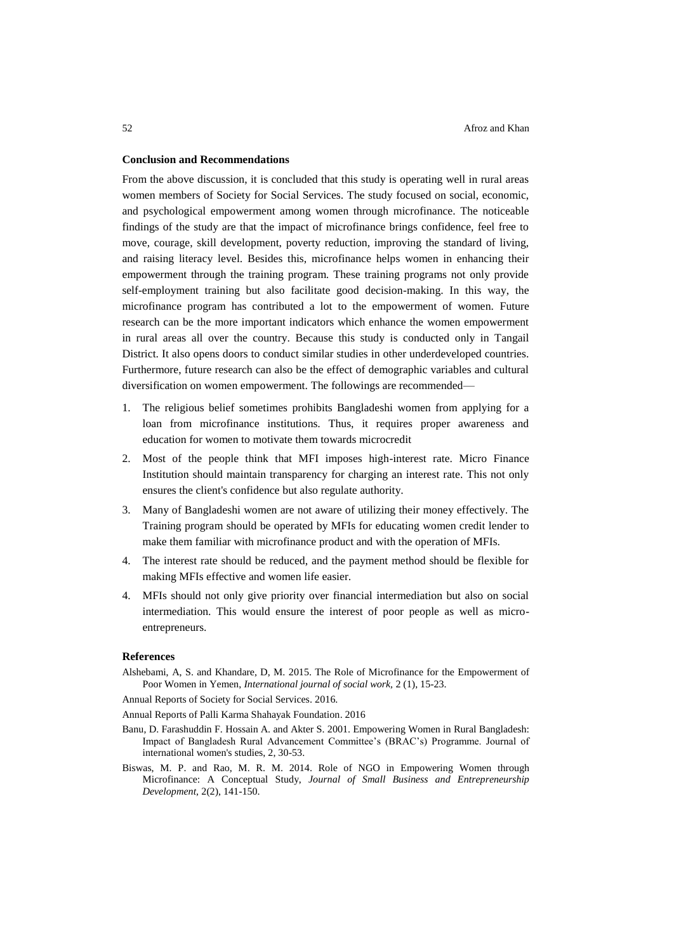# **Conclusion and Recommendations**

From the above discussion, it is concluded that this study is operating well in rural areas women members of Society for Social Services. The study focused on social, economic, and psychological empowerment among women through microfinance. The noticeable findings of the study are that the impact of microfinance brings confidence, feel free to move, courage, skill development, poverty reduction, improving the standard of living, and raising literacy level. Besides this, microfinance helps women in enhancing their empowerment through the training program. These training programs not only provide self-employment training but also facilitate good decision-making. In this way, the microfinance program has contributed a lot to the empowerment of women. Future research can be the more important indicators which enhance the women empowerment in rural areas all over the country. Because this study is conducted only in Tangail District. It also opens doors to conduct similar studies in other underdeveloped countries. Furthermore, future research can also be the effect of demographic variables and cultural diversification on women empowerment. The followings are recommended—

- 1. The religious belief sometimes prohibits Bangladeshi women from applying for a loan from microfinance institutions. Thus, it requires proper awareness and education for women to motivate them towards microcredit
- 2. Most of the people think that MFI imposes high-interest rate. Micro Finance Institution should maintain transparency for charging an interest rate. This not only ensures the client's confidence but also regulate authority.
- 3. Many of Bangladeshi women are not aware of utilizing their money effectively. The Training program should be operated by MFIs for educating women credit lender to make them familiar with microfinance product and with the operation of MFIs.
- 4. The interest rate should be reduced, and the payment method should be flexible for making MFIs effective and women life easier.
- 4. MFIs should not only give priority over financial intermediation but also on social intermediation. This would ensure the interest of poor people as well as microentrepreneurs.

### **References**

Alshebami, A, S. and Khandare, D, M. 2015. The Role of Microfinance for the Empowerment of Poor Women in Yemen, *International journal of social work,* 2 (1), 15-23.

Annual Reports of Society for Social Services. 2016.

Annual Reports of Palli Karma Shahayak Foundation. 2016

- Banu, D. Farashuddin F. Hossain A. and Akter S. 2001. [Empowering Women in Rural Bangladesh:](https://vc.bridgew.edu/cgi/viewcontent.cgi?article=1618&context=jiws)  [Impact of Bangladesh Rural Advancement Committee's \(BRAC's\) Programme. Journal of](https://vc.bridgew.edu/cgi/viewcontent.cgi?article=1618&context=jiws)  [international women's studies, 2, 30-53.](https://vc.bridgew.edu/cgi/viewcontent.cgi?article=1618&context=jiws)
- Biswas, M. P. and Rao, M. R. M. 2014. Role of NGO in Empowering Women through Microfinance: A Conceptual Study, *Journal of Small Business and Entrepreneurship Development,* 2(2), 141-150.